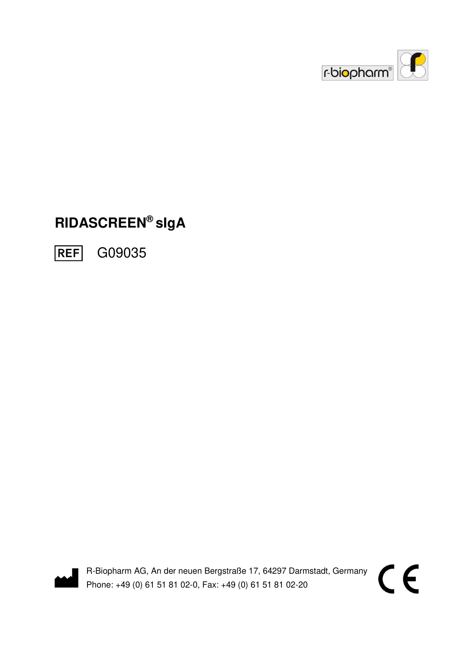

# **RIDASCREEN® sIgA**





R-Biopharm AG, An der neuen Bergstraße 17, 64297 Darmstadt, Germany Phone: +49 (0) 61 51 81 02-0, Fax: +49 (0) 61 51 81 02-20

 $C \in$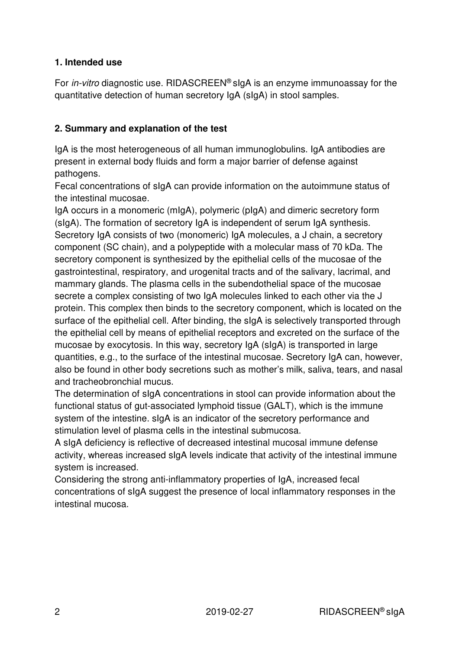#### **1. Intended use**

For *in-vitro* diagnostic use. RIDASCREEN<sup>®</sup> sIgA is an enzyme immunoassay for the quantitative detection of human secretory IgA (sIgA) in stool samples.

#### **2. Summary and explanation of the test**

IgA is the most heterogeneous of all human immunoglobulins. IgA antibodies are present in external body fluids and form a major barrier of defense against pathogens.

Fecal concentrations of sIgA can provide information on the autoimmune status of the intestinal mucosae.

IgA occurs in a monomeric (mIgA), polymeric (pIgA) and dimeric secretory form (sIgA). The formation of secretory IgA is independent of serum IgA synthesis. Secretory IgA consists of two (monomeric) IgA molecules, a J chain, a secretory component (SC chain), and a polypeptide with a molecular mass of 70 kDa. The secretory component is synthesized by the epithelial cells of the mucosae of the gastrointestinal, respiratory, and urogenital tracts and of the salivary, lacrimal, and mammary glands. The plasma cells in the subendothelial space of the mucosae secrete a complex consisting of two IgA molecules linked to each other via the J protein. This complex then binds to the secretory component, which is located on the surface of the epithelial cell. After binding, the sIgA is selectively transported through the epithelial cell by means of epithelial receptors and excreted on the surface of the mucosae by exocytosis. In this way, secretory IgA (sIgA) is transported in large quantities, e.g., to the surface of the intestinal mucosae. Secretory IgA can, however, also be found in other body secretions such as mother's milk, saliva, tears, and nasal and tracheobronchial mucus.

The determination of sIgA concentrations in stool can provide information about the functional status of gut-associated lymphoid tissue (GALT), which is the immune system of the intestine. sIgA is an indicator of the secretory performance and stimulation level of plasma cells in the intestinal submucosa.

A sIgA deficiency is reflective of decreased intestinal mucosal immune defense activity, whereas increased sIgA levels indicate that activity of the intestinal immune system is increased.

Considering the strong anti-inflammatory properties of IgA, increased fecal concentrations of sIgA suggest the presence of local inflammatory responses in the intestinal mucosa.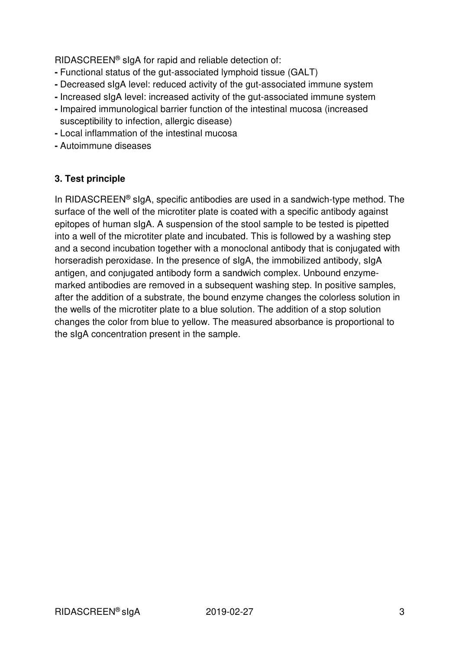RIDASCREEN® sIgA for rapid and reliable detection of:

- Functional status of the gut-associated lymphoid tissue (GALT)
- Decreased sIgA level: reduced activity of the gut-associated immune system
- Increased sIgA level: increased activity of the gut-associated immune system
- Impaired immunological barrier function of the intestinal mucosa (increased susceptibility to infection, allergic disease)
- Local inflammation of the intestinal mucosa
- Autoimmune diseases

#### **3. Test principle**

In RIDASCREEN® sIgA, specific antibodies are used in a sandwich-type method. The surface of the well of the microtiter plate is coated with a specific antibody against epitopes of human sIgA. A suspension of the stool sample to be tested is pipetted into a well of the microtiter plate and incubated. This is followed by a washing step and a second incubation together with a monoclonal antibody that is conjugated with horseradish peroxidase. In the presence of sIgA, the immobilized antibody, sIgA antigen, and conjugated antibody form a sandwich complex. Unbound enzymemarked antibodies are removed in a subsequent washing step. In positive samples, after the addition of a substrate, the bound enzyme changes the colorless solution in the wells of the microtiter plate to a blue solution. The addition of a stop solution changes the color from blue to yellow. The measured absorbance is proportional to the sIgA concentration present in the sample.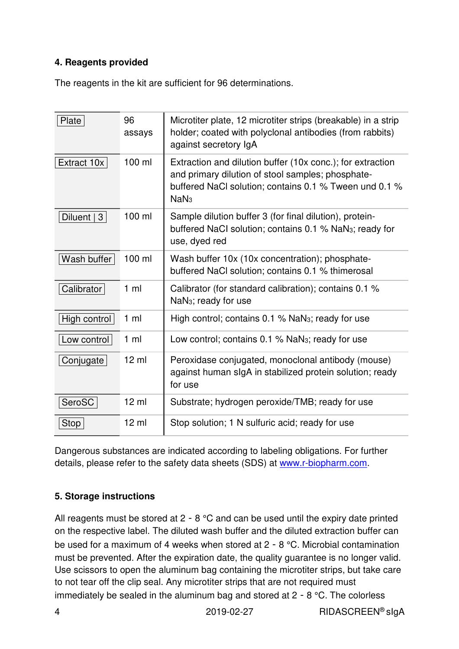## **4. Reagents provided**

The reagents in the kit are sufficient for 96 determinations.

| Plate        | 96<br>assays     | Microtiter plate, 12 microtiter strips (breakable) in a strip<br>holder; coated with polyclonal antibodies (from rabbits)<br>against secretory IgA                                            |
|--------------|------------------|-----------------------------------------------------------------------------------------------------------------------------------------------------------------------------------------------|
| Extract 10x  | $100$ ml         | Extraction and dilution buffer (10x conc.); for extraction<br>and primary dilution of stool samples; phosphate-<br>buffered NaCl solution; contains 0.1 % Tween und 0.1 %<br>NaN <sub>3</sub> |
| Diluent   3  | 100 ml           | Sample dilution buffer 3 (for final dilution), protein-<br>buffered NaCl solution; contains 0.1 % NaN <sub>3</sub> ; ready for<br>use, dyed red                                               |
| Wash buffer  | 100 ml           | Wash buffer 10x (10x concentration); phosphate-<br>buffered NaCl solution; contains 0.1 % thimerosal                                                                                          |
| Calibrator   | $1 \text{ ml}$   | Calibrator (for standard calibration); contains 0.1 %<br>NaN <sub>3</sub> ; ready for use                                                                                                     |
| High control | $1 \text{ ml}$   | High control; contains 0.1 % NaN <sub>3</sub> ; ready for use                                                                                                                                 |
| Low control  | $1 \text{ ml}$   | Low control; contains 0.1 % NaN <sub>3</sub> ; ready for use                                                                                                                                  |
| Conjugate    | $12 \mathrm{ml}$ | Peroxidase conjugated, monoclonal antibody (mouse)<br>against human slgA in stabilized protein solution; ready<br>for use                                                                     |
| SeroSC       | $12 \mathrm{ml}$ | Substrate; hydrogen peroxide/TMB; ready for use                                                                                                                                               |
| Stop         | $12 \text{ ml}$  | Stop solution; 1 N sulfuric acid; ready for use                                                                                                                                               |

Dangerous substances are indicated according to labeling obligations. For further details, please refer to the safety data sheets (SDS) at www.r-biopharm.com.

#### **5. Storage instructions**

All reagents must be stored at 2 - 8 °C and can be used until the expiry date printed on the respective label. The diluted wash buffer and the diluted extraction buffer can be used for a maximum of 4 weeks when stored at 2 - 8 °C. Microbial contamination must be prevented. After the expiration date, the quality guarantee is no longer valid. Use scissors to open the aluminum bag containing the microtiter strips, but take care to not tear off the clip seal. Any microtiter strips that are not required must immediately be sealed in the aluminum bag and stored at 2 - 8 °C. The colorless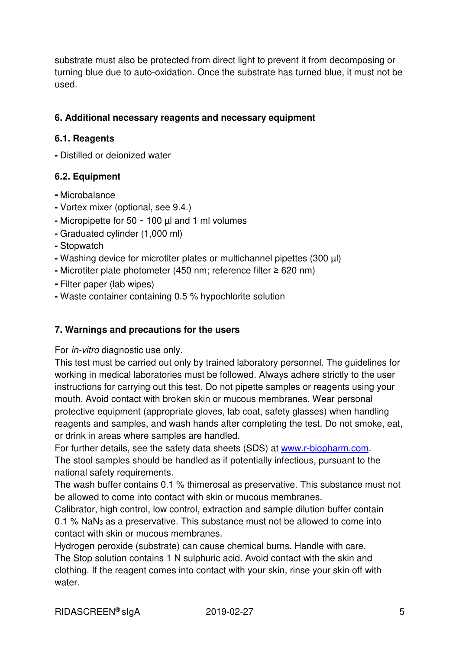substrate must also be protected from direct light to prevent it from decomposing or turning blue due to auto-oxidation. Once the substrate has turned blue, it must not be used.

### **6. Additional necessary reagents and necessary equipment**

#### **6.1. Reagents**

**-** Distilled or deionized water

## **6.2. Equipment**

- Microbalance
- Vortex mixer (optional, see 9.4.)
- Micropipette for 50 100 µl and 1 ml volumes
- Graduated cylinder (1,000 ml)
- Stopwatch
- Washing device for microtiter plates or multichannel pipettes (300 µl)
- Microtiter plate photometer (450 nm; reference filter ≥ 620 nm)
- Filter paper (lab wipes)
- Waste container containing 0.5 % hypochlorite solution

#### **7. Warnings and precautions for the users**

#### For in-vitro diagnostic use only.

This test must be carried out only by trained laboratory personnel. The guidelines for working in medical laboratories must be followed. Always adhere strictly to the user instructions for carrying out this test. Do not pipette samples or reagents using your mouth. Avoid contact with broken skin or mucous membranes. Wear personal protective equipment (appropriate gloves, lab coat, safety glasses) when handling reagents and samples, and wash hands after completing the test. Do not smoke, eat, or drink in areas where samples are handled.

For further details, see the safety data sheets (SDS) at www.r-biopharm.com. The stool samples should be handled as if potentially infectious, pursuant to the national safety requirements.

The wash buffer contains 0.1 % thimerosal as preservative. This substance must not be allowed to come into contact with skin or mucous membranes.

Calibrator, high control, low control, extraction and sample dilution buffer contain 0.1 % NaN3 as a preservative. This substance must not be allowed to come into contact with skin or mucous membranes.

Hydrogen peroxide (substrate) can cause chemical burns. Handle with care. The Stop solution contains 1 N sulphuric acid. Avoid contact with the skin and clothing. If the reagent comes into contact with your skin, rinse your skin off with water.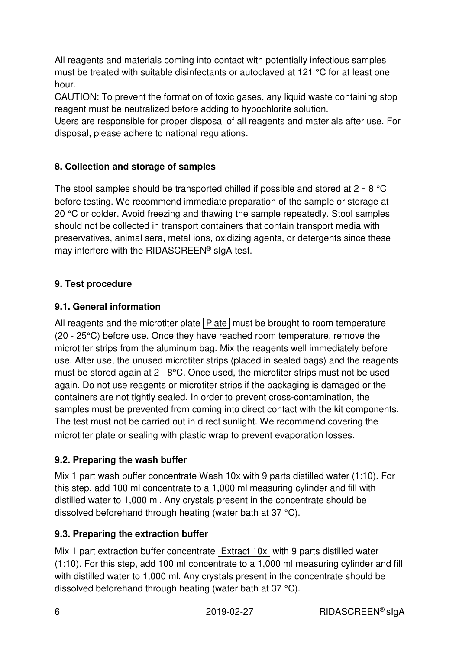All reagents and materials coming into contact with potentially infectious samples must be treated with suitable disinfectants or autoclaved at 121 °C for at least one hour.

CAUTION: To prevent the formation of toxic gases, any liquid waste containing stop reagent must be neutralized before adding to hypochlorite solution.

Users are responsible for proper disposal of all reagents and materials after use. For disposal, please adhere to national regulations.

## **8. Collection and storage of samples**

The stool samples should be transported chilled if possible and stored at 2 - 8 °C before testing. We recommend immediate preparation of the sample or storage at - 20 °C or colder. Avoid freezing and thawing the sample repeatedly. Stool samples should not be collected in transport containers that contain transport media with preservatives, animal sera, metal ions, oxidizing agents, or detergents since these may interfere with the RIDASCREEN® sIgA test.

## **9. Test procedure**

## **9.1. General information**

All reagents and the microtiter plate  $\sqrt{P}$  Plate must be brought to room temperature (20 - 25°C) before use. Once they have reached room temperature, remove the microtiter strips from the aluminum bag. Mix the reagents well immediately before use. After use, the unused microtiter strips (placed in sealed bags) and the reagents must be stored again at 2 - 8°C. Once used, the microtiter strips must not be used again. Do not use reagents or microtiter strips if the packaging is damaged or the containers are not tightly sealed. In order to prevent cross-contamination, the samples must be prevented from coming into direct contact with the kit components. The test must not be carried out in direct sunlight. We recommend covering the microtiter plate or sealing with plastic wrap to prevent evaporation losses.

## **9.2. Preparing the wash buffer**

Mix 1 part wash buffer concentrate Wash 10x with 9 parts distilled water (1:10). For this step, add 100 ml concentrate to a 1,000 ml measuring cylinder and fill with distilled water to 1,000 ml. Any crystals present in the concentrate should be dissolved beforehand through heating (water bath at 37 °C).

## **9.3. Preparing the extraction buffer**

Mix 1 part extraction buffer concentrate  $\vert$  Extract 10x with 9 parts distilled water (1:10). For this step, add 100 ml concentrate to a 1,000 ml measuring cylinder and fill with distilled water to 1,000 ml. Any crystals present in the concentrate should be dissolved beforehand through heating (water bath at 37 °C).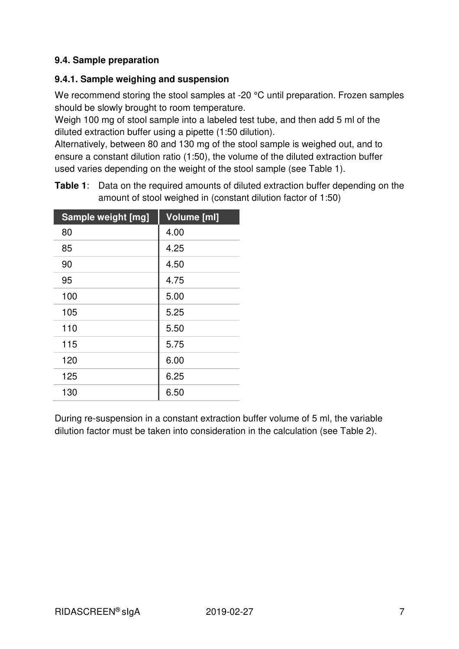## **9.4. Sample preparation**

#### **9.4.1. Sample weighing and suspension**

We recommend storing the stool samples at -20 °C until preparation. Frozen samples should be slowly brought to room temperature.

Weigh 100 mg of stool sample into a labeled test tube, and then add 5 ml of the diluted extraction buffer using a pipette (1:50 dilution).

Alternatively, between 80 and 130 mg of the stool sample is weighed out, and to ensure a constant dilution ratio (1:50), the volume of the diluted extraction buffer used varies depending on the weight of the stool sample (see Table 1).

| Sample weight [mg] | <b>Volume [ml]</b> |
|--------------------|--------------------|
| 80                 | 4.00               |
| 85                 | 4.25               |
| 90                 | 4.50               |
| 95                 | 4.75               |
| 100                | 5.00               |
| 105                | 5.25               |
| 110                | 5.50               |
| 115                | 5.75               |
| 120                | 6.00               |
| 125                | 6.25               |
| 130                | 6.50               |

**Table 1**: Data on the required amounts of diluted extraction buffer depending on the amount of stool weighed in (constant dilution factor of 1:50)

During re-suspension in a constant extraction buffer volume of 5 ml, the variable dilution factor must be taken into consideration in the calculation (see Table 2).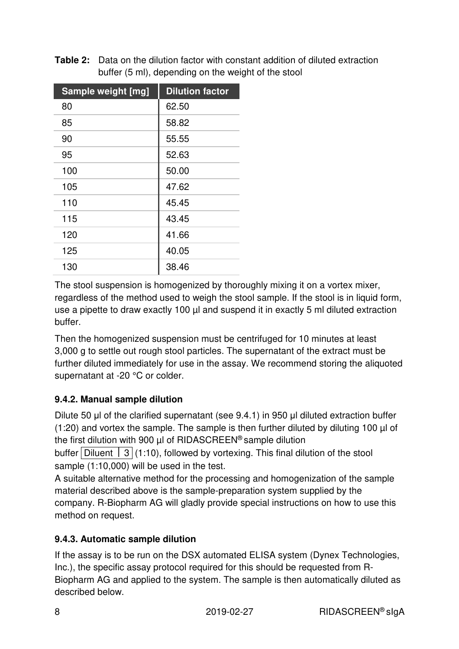**Table 2:** Data on the dilution factor with constant addition of diluted extraction buffer (5 ml), depending on the weight of the stool

| Sample weight [mg] | <b>Dilution factor</b> |
|--------------------|------------------------|
| 80                 | 62.50                  |
| 85                 | 58.82                  |
| 90                 | 55.55                  |
| 95                 | 52.63                  |
| 100                | 50.00                  |
| 105                | 47.62                  |
| 110                | 45.45                  |
| 115                | 43.45                  |
| 120                | 41.66                  |
| 125                | 40.05                  |
| 130                | 38.46                  |

The stool suspension is homogenized by thoroughly mixing it on a vortex mixer, regardless of the method used to weigh the stool sample. If the stool is in liquid form, use a pipette to draw exactly 100 µl and suspend it in exactly 5 ml diluted extraction buffer.

Then the homogenized suspension must be centrifuged for 10 minutes at least 3,000 g to settle out rough stool particles. The supernatant of the extract must be further diluted immediately for use in the assay. We recommend storing the aliquoted supernatant at -20 °C or colder.

# **9.4.2. Manual sample dilution**

Dilute 50 μl of the clarified supernatant (see 9.4.1) in 950 μl diluted extraction buffer  $(1:20)$  and vortex the sample. The sample is then further diluted by diluting 100 µl of the first dilution with 900  $\mu$  of RIDASCREEN<sup>®</sup> sample dilution

buffer Diluent  $\vert 3 \vert (1:10)$ , followed by vortexing. This final dilution of the stool sample (1:10,000) will be used in the test.

A suitable alternative method for the processing and homogenization of the sample material described above is the sample-preparation system supplied by the company. R-Biopharm AG will gladly provide special instructions on how to use this method on request.

# **9.4.3. Automatic sample dilution**

If the assay is to be run on the DSX automated ELISA system (Dynex Technologies, Inc.), the specific assay protocol required for this should be requested from R-Biopharm AG and applied to the system. The sample is then automatically diluted as described below.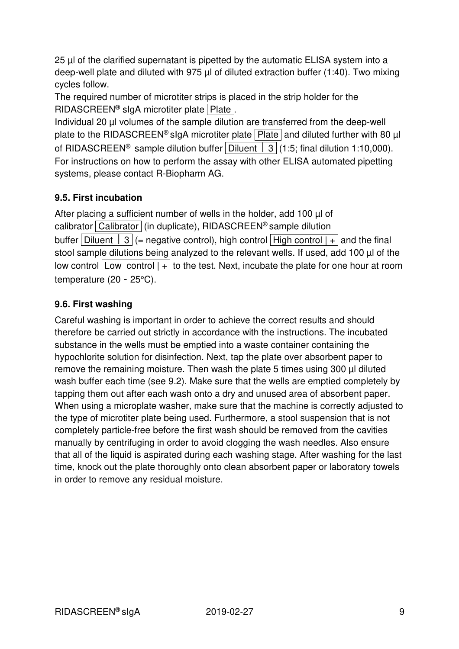25 µl of the clarified supernatant is pipetted by the automatic ELISA system into a deep-well plate and diluted with 975 µl of diluted extraction buffer (1:40). Two mixing cycles follow.

The required number of microtiter strips is placed in the strip holder for the RIDASCREEN® sIgA microtiter plate Plate.

Individual 20 µl volumes of the sample dilution are transferred from the deep-well plate to the RIDASCREEN<sup>®</sup> sigA microtiter plate  $\sqrt{P\|P\|}$  and diluted further with 80 µl of RIDASCREEN<sup>®</sup> sample dilution buffer Diluent  $\vert 3 \vert$  (1:5; final dilution 1:10,000). For instructions on how to perform the assay with other ELISA automated pipetting systems, please contact R-Biopharm AG.

## **9.5. First incubation**

After placing a sufficient number of wells in the holder, add 100  $\mu$  of calibrator Calibrator (in duplicate), RIDASCREEN® sample dilution buffer Diluent  $\begin{bmatrix} 3 \\ 1 \end{bmatrix}$  (= negative control), high control High control  $\begin{bmatrix} + \\ - \end{bmatrix}$  and the final stool sample dilutions being analyzed to the relevant wells. If used, add 100 µl of the low control  $\lfloor$  Low control  $\rfloor$  + to the test. Next, incubate the plate for one hour at room temperature (20 - 25°C).

## **9.6. First washing**

Careful washing is important in order to achieve the correct results and should therefore be carried out strictly in accordance with the instructions. The incubated substance in the wells must be emptied into a waste container containing the hypochlorite solution for disinfection. Next, tap the plate over absorbent paper to remove the remaining moisture. Then wash the plate 5 times using 300 µl diluted wash buffer each time (see 9.2). Make sure that the wells are emptied completely by tapping them out after each wash onto a dry and unused area of absorbent paper. When using a microplate washer, make sure that the machine is correctly adjusted to the type of microtiter plate being used. Furthermore, a stool suspension that is not completely particle-free before the first wash should be removed from the cavities manually by centrifuging in order to avoid clogging the wash needles. Also ensure that all of the liquid is aspirated during each washing stage. After washing for the last time, knock out the plate thoroughly onto clean absorbent paper or laboratory towels in order to remove any residual moisture.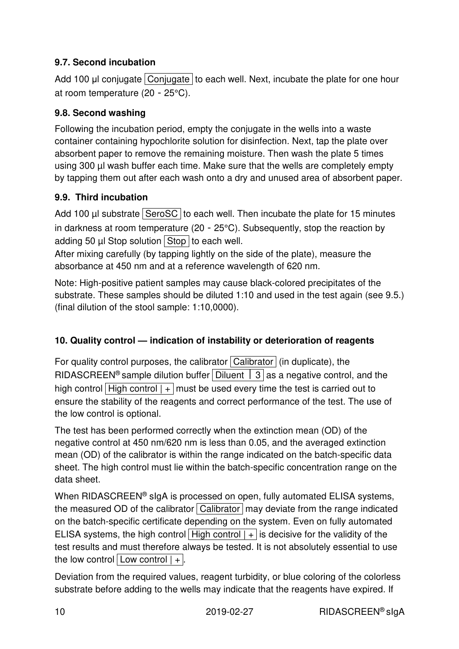## **9.7. Second incubation**

Add 100 μl conjugate Conjugate to each well. Next, incubate the plate for one hour at room temperature (20 - 25°C).

## **9.8. Second washing**

Following the incubation period, empty the conjugate in the wells into a waste container containing hypochlorite solution for disinfection. Next, tap the plate over absorbent paper to remove the remaining moisture. Then wash the plate 5 times using 300 µl wash buffer each time. Make sure that the wells are completely empty by tapping them out after each wash onto a dry and unused area of absorbent paper.

## **9.9. Third incubation**

Add 100  $\mu$  substrate SeroSC to each well. Then incubate the plate for 15 minutes in darkness at room temperature (20 - 25°C). Subsequently, stop the reaction by adding 50  $\mu$  Stop solution Stop to each well.

After mixing carefully (by tapping lightly on the side of the plate), measure the absorbance at 450 nm and at a reference wavelength of 620 nm.

Note: High-positive patient samples may cause black-colored precipitates of the substrate. These samples should be diluted 1:10 and used in the test again (see 9.5.) (final dilution of the stool sample: 1:10,0000).

## **10. Quality control — indication of instability or deterioration of reagents**

For quality control purposes, the calibrator  $\boxed{\text{Calibration}}$  (in duplicate), the RIDASCREEN<sup>®</sup> sample dilution buffer Diluent  $\parallel$  3 as a negative control, and the high control | High control  $| + |$  must be used every time the test is carried out to ensure the stability of the reagents and correct performance of the test. The use of the low control is optional.

The test has been performed correctly when the extinction mean (OD) of the negative control at 450 nm/620 nm is less than 0.05, and the averaged extinction mean (OD) of the calibrator is within the range indicated on the batch-specific data sheet. The high control must lie within the batch-specific concentration range on the data sheet.

When RIDASCREEN<sup>®</sup> slgA is processed on open, fully automated ELISA systems, the measured OD of the calibrator  $\boxed{\text{Calibration}}$  may deviate from the range indicated on the batch-specific certificate depending on the system. Even on fully automated ELISA systems, the high control | High control  $| + |$  is decisive for the validity of the test results and must therefore always be tested. It is not absolutely essential to use the low control  $\boxed{\text{Low control } | +}.$ 

Deviation from the required values, reagent turbidity, or blue coloring of the colorless substrate before adding to the wells may indicate that the reagents have expired. If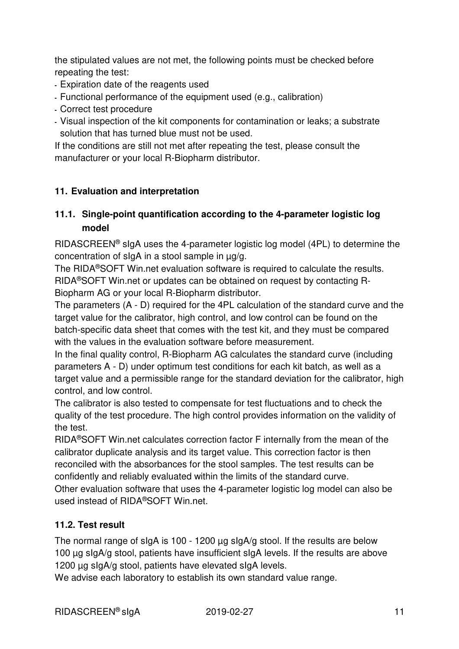the stipulated values are not met, the following points must be checked before repeating the test:

- Expiration date of the reagents used
- Functional performance of the equipment used (e.g., calibration)
- Correct test procedure
- Visual inspection of the kit components for contamination or leaks; a substrate solution that has turned blue must not be used.

If the conditions are still not met after repeating the test, please consult the manufacturer or your local R-Biopharm distributor.

#### **11. Evaluation and interpretation**

## **11.1. Single-point quantification according to the 4-parameter logistic log model**

RIDASCREEN® sIgA uses the 4-parameter logistic log model (4PL) to determine the concentration of sIgA in a stool sample in µg/g.

The RIDA®SOFT Win.net evaluation software is required to calculate the results. RIDA®SOFT Win.net or updates can be obtained on request by contacting R-Biopharm AG or your local R-Biopharm distributor.

The parameters (A - D) required for the 4PL calculation of the standard curve and the target value for the calibrator, high control, and low control can be found on the batch-specific data sheet that comes with the test kit, and they must be compared with the values in the evaluation software before measurement.

In the final quality control, R-Biopharm AG calculates the standard curve (including parameters A - D) under optimum test conditions for each kit batch, as well as a target value and a permissible range for the standard deviation for the calibrator, high control, and low control.

The calibrator is also tested to compensate for test fluctuations and to check the quality of the test procedure. The high control provides information on the validity of the test.

RIDA®SOFT Win.net calculates correction factor F internally from the mean of the calibrator duplicate analysis and its target value. This correction factor is then reconciled with the absorbances for the stool samples. The test results can be confidently and reliably evaluated within the limits of the standard curve. Other evaluation software that uses the 4-parameter logistic log model can also be used instead of RIDA®SOFT Win.net.

#### **11.2. Test result**

The normal range of sIgA is 100 - 1200 µg sIgA/g stool. If the results are below 100 µg sIgA/g stool, patients have insufficient sIgA levels. If the results are above 1200 µg sIgA/g stool, patients have elevated sIgA levels.

We advise each laboratory to establish its own standard value range.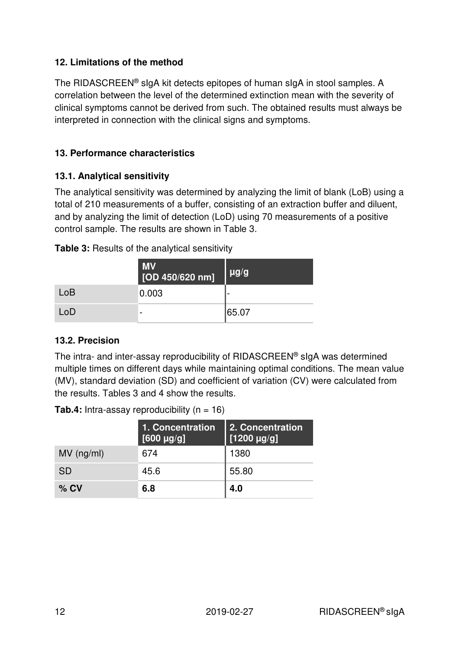#### **12. Limitations of the method**

The RIDASCREEN® sIgA kit detects epitopes of human sIgA in stool samples. A correlation between the level of the determined extinction mean with the severity of clinical symptoms cannot be derived from such. The obtained results must always be interpreted in connection with the clinical signs and symptoms.

#### **13. Performance characteristics**

#### **13.1. Analytical sensitivity**

The analytical sensitivity was determined by analyzing the limit of blank (LoB) using a total of 210 measurements of a buffer, consisting of an extraction buffer and diluent, and by analyzing the limit of detection (LoD) using 70 measurements of a positive control sample. The results are shown in Table 3.

#### **Table 3:** Results of the analytical sensitivity

|     | <b>MV</b><br>[OD 450/620 nm] | $\mu$ g/g |
|-----|------------------------------|-----------|
| LoB | 0.003                        |           |
| LoD | -                            | 65.07     |

#### **13.2. Precision**

The intra- and inter-assay reproducibility of RIDASCREEN® sIgA was determined multiple times on different days while maintaining optimal conditions. The mean value (MV), standard deviation (SD) and coefficient of variation (CV) were calculated from the results. Tables 3 and 4 show the results.

|              | 1. Concentration<br>$[600 \mu g/g]$ | 2. Concentration<br>[1200 µg/g] |
|--------------|-------------------------------------|---------------------------------|
| $MV$ (ng/ml) | 674                                 | 1380                            |
| <b>SD</b>    | 45.6                                | 55.80                           |
| $%$ CV       | 6.8                                 | 4.0                             |

**Tab.4:** Intra-assay reproducibility  $(n = 16)$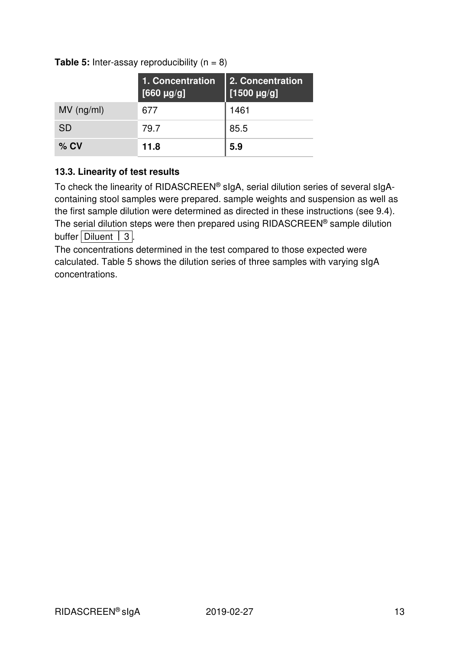|              | 1. Concentration<br>$[660 \text{ µg/g}]$ | 2. Concentration<br>[1500 $\mu$ g/g] |
|--------------|------------------------------------------|--------------------------------------|
| $MV$ (ng/ml) | 677                                      | 1461                                 |
| <b>SD</b>    | 79.7                                     | 85.5                                 |
| $%$ CV       | 11.8                                     | 5.9                                  |

**Table 5:** Inter-assay reproducibility  $(n = 8)$ 

#### **13.3. Linearity of test results**

To check the linearity of RIDASCREEN® sIgA, serial dilution series of several sIgAcontaining stool samples were prepared. sample weights and suspension as well as the first sample dilution were determined as directed in these instructions (see 9.4). The serial dilution steps were then prepared using RIDASCREEN® sample dilution buffer | Diluent  $|3|$ .

The concentrations determined in the test compared to those expected were calculated. Table 5 shows the dilution series of three samples with varying sIgA concentrations.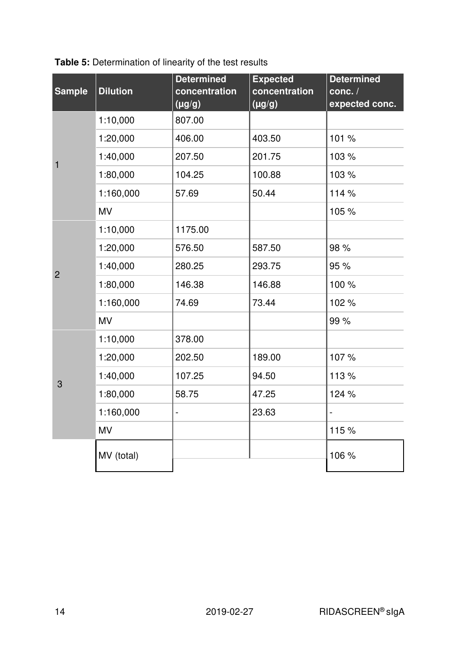| Table 5: Determination of linearity of the test results |
|---------------------------------------------------------|
|---------------------------------------------------------|

| <b>Sample</b>  | <b>Dilution</b> | <b>Determined</b><br>concentration<br>$(\mu g/g)$ | <b>Expected</b><br>concentration<br>$(\mu g/g)$ | <b>Determined</b><br>conc./<br>expected conc. |
|----------------|-----------------|---------------------------------------------------|-------------------------------------------------|-----------------------------------------------|
|                | 1:10,000        | 807.00                                            |                                                 |                                               |
|                | 1:20,000        | 406.00                                            | 403.50                                          | 101 %                                         |
| 1              | 1:40,000        | 207.50                                            | 201.75                                          | 103 %                                         |
|                | 1:80,000        | 104.25                                            | 100.88                                          | 103 %                                         |
|                | 1:160,000       | 57.69                                             | 50.44                                           | 114 %                                         |
|                | <b>MV</b>       |                                                   |                                                 | 105 %                                         |
|                | 1:10,000        | 1175.00                                           |                                                 |                                               |
| $\overline{2}$ | 1:20,000        | 576.50                                            | 587.50                                          | 98 %                                          |
|                | 1:40,000        | 280.25                                            | 293.75                                          | 95 %                                          |
|                | 1:80,000        | 146.38                                            | 146.88                                          | 100 %                                         |
|                | 1:160,000       | 74.69                                             | 73.44                                           | 102 %                                         |
|                | <b>MV</b>       |                                                   |                                                 | 99 %                                          |
|                | 1:10,000        | 378.00                                            |                                                 |                                               |
| 3              | 1:20,000        | 202.50                                            | 189.00                                          | 107%                                          |
|                | 1:40,000        | 107.25                                            | 94.50                                           | 113 %                                         |
|                | 1:80,000        | 58.75                                             | 47.25                                           | 124 %                                         |
|                | 1:160,000       | $\overline{\phantom{0}}$                          | 23.63                                           | $\frac{1}{2}$                                 |
|                | <b>MV</b>       |                                                   |                                                 | 115 %                                         |
|                | MV (total)      |                                                   |                                                 | 106 %                                         |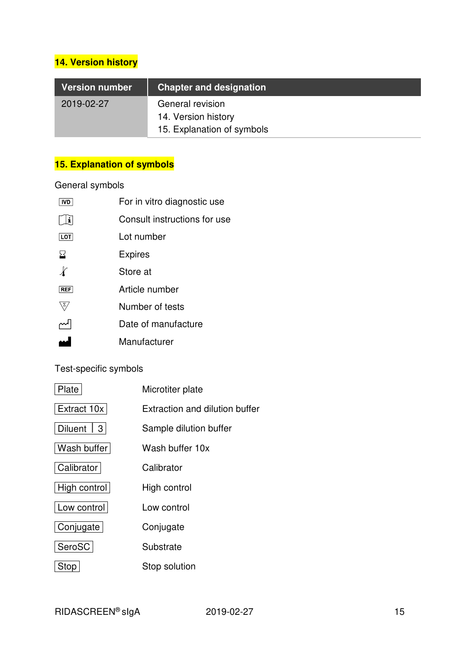# **14. Version history**

| Version number | <b>Chapter and designation</b> |
|----------------|--------------------------------|
| 2019-02-27     | General revision               |
|                | 14. Version history            |
|                | 15. Explanation of symbols     |

# **15. Explanation of symbols**

## General symbols

| For in vitro diagnostic use  |
|------------------------------|
| Consult instructions for use |
| Lot number                   |
| <b>Expires</b>               |
| Store at                     |
| Article number               |
| Number of tests              |
| Date of manufacture          |
| Manufacturer                 |
|                              |

## Test-specific symbols

| Plate        | Microtiter plate               |
|--------------|--------------------------------|
| Extract 10x  | Extraction and dilution buffer |
| Diluent   3  | Sample dilution buffer         |
| Wash buffer  | Wash buffer 10x                |
| Calibrator   | Calibrator                     |
| High control | High control                   |
| Low control  | Low control                    |
| Conjugate    | Conjugate                      |
| SeroSC       | Substrate                      |
| Stop         | Stop solution                  |